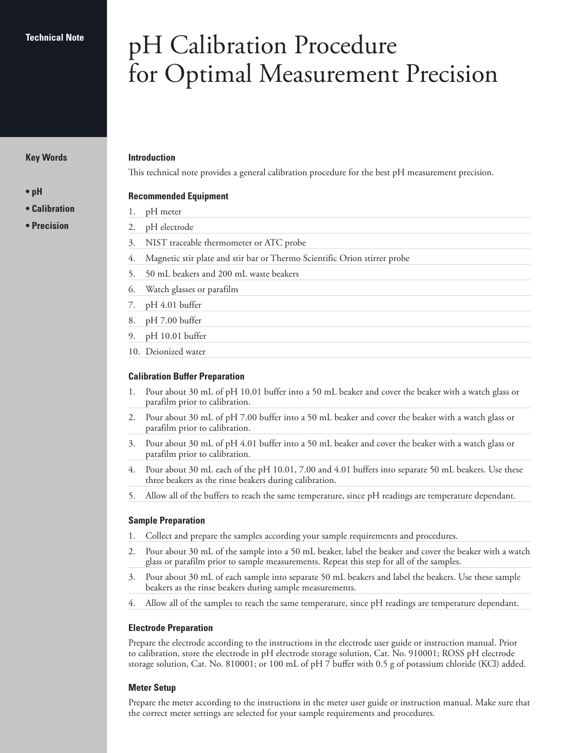#### **Technical Note**

#### **Key Words**

**• pH**

- **Calibration**
- **Precision**

# pH Calibration Procedure for Optimal Measurement Precision

#### **Introduction**

This technical note provides a general calibration procedure for the best pH measurement precision.

### **Recommended Equipment**

- 1. pH meter
- 2. pH electrode
- 3. NIST traceable thermometer or ATC probe
- 4. Magnetic stir plate and stir bar or Thermo Scientific Orion stirrer probe
- 5. 50 mL beakers and 200 mL waste beakers
- 6. Watch glasses or parafilm
- 7. pH 4.01 buffer
- 8. pH 7.00 buffer
- 9. pH 10.01 buffer
- 10. Deionized water

#### **Calibration Buffer Preparation**

- 1. Pour about 30 mL of pH 10.01 buffer into a 50 mL beaker and cover the beaker with a watch glass or parafilm prior to calibration.
- 2. Pour about 30 mL of pH 7.00 buffer into a 50 mL beaker and cover the beaker with a watch glass or parafilm prior to calibration.
- 3. Pour about 30 mL of pH 4.01 buffer into a 50 mL beaker and cover the beaker with a watch glass or parafilm prior to calibration.
- 4. Pour about 30 mL each of the pH 10.01, 7.00 and 4.01 buffers into separate 50 mL beakers. Use these three beakers as the rinse beakers during calibration.
- 5. Allow all of the buffers to reach the same temperature, since pH readings are temperature dependant.

#### **Sample Preparation**

- 1. Collect and prepare the samples according your sample requirements and procedures.
- 2. Pour about 30 mL of the sample into a 50 mL beaker, label the beaker and cover the beaker with a watch glass or parafilm prior to sample measurements. Repeat this step for all of the samples.
- 3. Pour about 30 mL of each sample into separate 50 mL beakers and label the beakers. Use these sample beakers as the rinse beakers during sample measurements.
- 4. Allow all of the samples to reach the same temperature, since pH readings are temperature dependant.

#### **Electrode Preparation**

Prepare the electrode according to the instructions in the electrode user guide or instruction manual. Prior to calibration, store the electrode in pH electrode storage solution, Cat. No. 910001; ROSS pH electrode storage solution, Cat. No. 810001; or 100 mL of pH 7 buffer with 0.5 g of potassium chloride (KCl) added.

#### **Meter Setup**

Prepare the meter according to the instructions in the meter user guide or instruction manual. Make sure that the correct meter settings are selected for your sample requirements and procedures.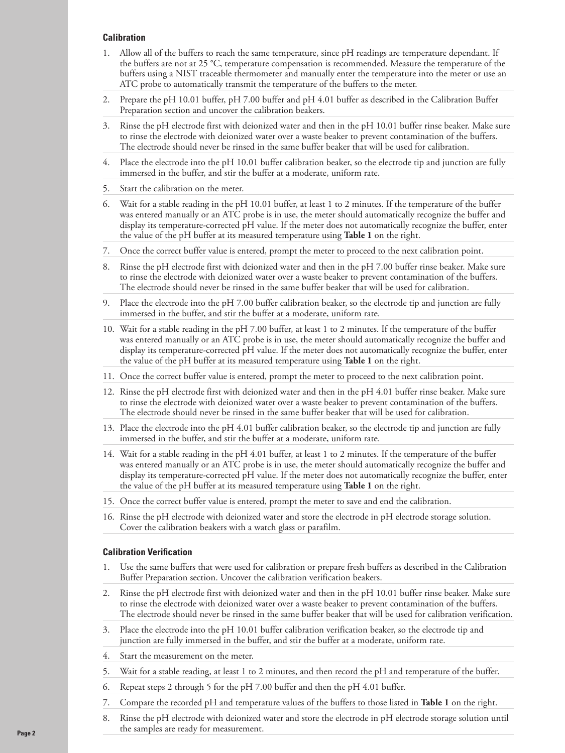#### **Calibration**

- 1. Allow all of the buffers to reach the same temperature, since pH readings are temperature dependant. If the buffers are not at 25 °C, temperature compensation is recommended. Measure the temperature of the buffers using a NIST traceable thermometer and manually enter the temperature into the meter or use an ATC probe to automatically transmit the temperature of the buffers to the meter.
- 2. Prepare the pH 10.01 buffer, pH 7.00 buffer and pH 4.01 buffer as described in the Calibration Buffer Preparation section and uncover the calibration beakers.
- 3. Rinse the pH electrode first with deionized water and then in the pH 10.01 buffer rinse beaker. Make sure to rinse the electrode with deionized water over a waste beaker to prevent contamination of the buffers. The electrode should never be rinsed in the same buffer beaker that will be used for calibration.
- 4. Place the electrode into the pH 10.01 buffer calibration beaker, so the electrode tip and junction are fully immersed in the buffer, and stir the buffer at a moderate, uniform rate.
- 5. Start the calibration on the meter.
- 6. Wait for a stable reading in the pH 10.01 buffer, at least 1 to 2 minutes. If the temperature of the buffer was entered manually or an ATC probe is in use, the meter should automatically recognize the buffer and display its temperature-corrected pH value. If the meter does not automatically recognize the buffer, enter the value of the pH buffer at its measured temperature using **Table 1** on the right.
- 7. Once the correct buffer value is entered, prompt the meter to proceed to the next calibration point.
- 8. Rinse the pH electrode first with deionized water and then in the pH 7.00 buffer rinse beaker. Make sure to rinse the electrode with deionized water over a waste beaker to prevent contamination of the buffers. The electrode should never be rinsed in the same buffer beaker that will be used for calibration.
- 9. Place the electrode into the pH 7.00 buffer calibration beaker, so the electrode tip and junction are fully immersed in the buffer, and stir the buffer at a moderate, uniform rate.
- 10. Wait for a stable reading in the pH 7.00 buffer, at least 1 to 2 minutes. If the temperature of the buffer was entered manually or an ATC probe is in use, the meter should automatically recognize the buffer and display its temperature-corrected pH value. If the meter does not automatically recognize the buffer, enter the value of the pH buffer at its measured temperature using **Table 1** on the right.
- 11. Once the correct buffer value is entered, prompt the meter to proceed to the next calibration point.
- 12. Rinse the pH electrode first with deionized water and then in the pH 4.01 buffer rinse beaker. Make sure to rinse the electrode with deionized water over a waste beaker to prevent contamination of the buffers. The electrode should never be rinsed in the same buffer beaker that will be used for calibration.
- 13. Place the electrode into the pH 4.01 buffer calibration beaker, so the electrode tip and junction are fully immersed in the buffer, and stir the buffer at a moderate, uniform rate.
- 14. Wait for a stable reading in the pH 4.01 buffer, at least 1 to 2 minutes. If the temperature of the buffer was entered manually or an ATC probe is in use, the meter should automatically recognize the buffer and display its temperature-corrected pH value. If the meter does not automatically recognize the buffer, enter the value of the pH buffer at its measured temperature using **Table 1** on the right.
- 15. Once the correct buffer value is entered, prompt the meter to save and end the calibration.
- 16. Rinse the pH electrode with deionized water and store the electrode in pH electrode storage solution. Cover the calibration beakers with a watch glass or parafilm.

## **Calibration Verification**

- 1. Use the same buffers that were used for calibration or prepare fresh buffers as described in the Calibration Buffer Preparation section. Uncover the calibration verification beakers.
- 2. Rinse the pH electrode first with deionized water and then in the pH 10.01 buffer rinse beaker. Make sure to rinse the electrode with deionized water over a waste beaker to prevent contamination of the buffers. The electrode should never be rinsed in the same buffer beaker that will be used for calibration verification.
- Place the electrode into the pH 10.01 buffer calibration verification beaker, so the electrode tip and junction are fully immersed in the buffer, and stir the buffer at a moderate, uniform rate.
- 4. Start the measurement on the meter.
- 5. Wait for a stable reading, at least 1 to 2 minutes, and then record the pH and temperature of the buffer.
- 6. Repeat steps 2 through 5 for the pH 7.00 buffer and then the pH 4.01 buffer.
- 7. Compare the recorded pH and temperature values of the buffers to those listed in **Table 1** on the right.
- 8. Rinse the pH electrode with deionized water and store the electrode in pH electrode storage solution until the samples are ready for measurement.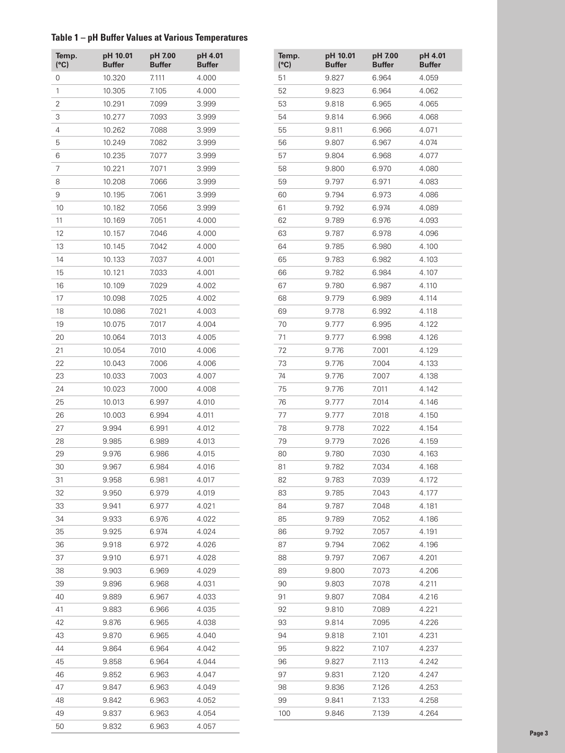# **Table 1 – pH Buffer Values at Various Temperatures**

| Temp.<br>(°C)  | pH 10.01<br><b>Buffer</b> | pH 7.00<br><b>Buffer</b> | pH 4.01<br><b>Buffer</b> | Temp.<br>(°C) | pH 10.01<br><b>Buffer</b> | pH 7.00<br><b>Buffer</b> | pH 4.<br><b>Buffe</b> |
|----------------|---------------------------|--------------------------|--------------------------|---------------|---------------------------|--------------------------|-----------------------|
| 0              | 10.320                    | 7.111                    | 4.000                    | 51            | 9.827                     | 6.964                    | 4.059                 |
| 1              | 10.305                    | 7.105                    | 4.000                    | 52            | 9.823                     | 6.964                    | 4.062                 |
| $\overline{2}$ | 10.291                    | 7.099                    | 3.999                    | 53            | 9.818                     | 6.965                    | 4.065                 |
| 3              | 10.277                    | 7.093                    | 3.999                    | 54            | 9.814                     | 6.966                    | 4.068                 |
| 4              | 10.262                    | 7.088                    | 3.999                    | 55            | 9.811                     | 6.966                    | 4.071                 |
| $\mathbf 5$    | 10.249                    | 7.082                    | 3.999                    | 56            | 9.807                     | 6.967                    | 4.074                 |
| 6              | 10.235                    | 7.077                    | 3.999                    | 57            | 9.804                     | 6.968                    | 4.077                 |
| $\overline{7}$ | 10.221                    | 7.071                    | 3.999                    | 58            | 9.800                     | 6.970                    | 4.080                 |
| 8              | 10.208                    | 7.066                    | 3.999                    | 59            | 9.797                     | 6.971                    | 4.083                 |
| 9              | 10.195                    | 7.061                    | 3.999                    | 60            | 9.794                     | 6.973                    | 4.086                 |
| 10             | 10.182                    | 7.056                    | 3.999                    | 61            | 9.792                     | 6.974                    | 4.089                 |
| 11             | 10.169                    | 7.051                    | 4.000                    | 62            | 9.789                     | 6.976                    | 4.093                 |
| 12             | 10.157                    | 7.046                    | 4.000                    | 63            | 9.787                     | 6.978                    | 4.096                 |
| 13             | 10.145                    | 7.042                    | 4.000                    | 64            | 9.785                     | 6.980                    | 4.100                 |
| 14             | 10.133                    | 7.037                    | 4.001                    | 65            | 9.783                     | 6.982                    | 4.103                 |
| 15             | 10.121                    | 7.033                    | 4.001                    | 66            | 9.782                     | 6.984                    | 4.107                 |
| 16             | 10.109                    | 7.029                    | 4.002                    | 67            | 9.780                     | 6.987                    | 4.110                 |
| 17             | 10.098                    | 7.025                    | 4.002                    | 68            | 9.779                     | 6.989                    | 4.114                 |
| 18             | 10.086                    | 7.021                    | 4.003                    | 69            | 9.778                     | 6.992                    | 4.118                 |
| 19             | 10.075                    | 7.017                    | 4.004                    | 70            | 9.777                     | 6.995                    | 4.122                 |
| 20             | 10.064                    | 7.013                    | 4.005                    | 71            | 9.777                     | 6.998                    | 4.126                 |
| 21             | 10.054                    | 7.010                    | 4.006                    | 72            | 9.776                     | 7.001                    | 4.129                 |
| 22             | 10.043                    | 7.006                    | 4.006                    | 73            | 9.776                     | 7.004                    | 4.133                 |
| 23             | 10.033                    | 7.003                    | 4.007                    | 74            | 9.776                     | 7.007                    | 4.138                 |
| 24             | 10.023                    | 7.000                    | 4.008                    | 75            | 9.776                     | 7.011                    | 4.142                 |
| 25             | 10.013                    | 6.997                    | 4.010                    | 76            | 9.777                     | 7.014                    | 4.146                 |
| 26             | 10.003                    | 6.994                    | 4.011                    | 77            | 9.777                     | 7.018                    | 4.150                 |
| 27             | 9.994                     | 6.991                    | 4.012                    | 78            | 9.778                     | 7.022                    | 4.154                 |
| 28             | 9.985                     | 6.989                    | 4.013                    | 79            | 9.779                     | 7.026                    | 4.159                 |
| 29             | 9.976                     | 6.986                    | 4.015                    | 80            | 9.780                     | 7.030                    | 4.163                 |
| 30             | 9.967                     | 6.984                    | 4.016                    | 81            | 9.782                     | 7.034                    | 4.168                 |
|                | 9.958                     | 6.981                    | 4.017                    |               | 9.783                     | 7.039                    | 4.172                 |
| 31<br>32       | 9.950                     | 6.979                    | 4.019                    | 82<br>83      | 9.785                     | 7.043                    | 4.177                 |
| 33             | 9.941                     | 6.977                    | 4.021                    | 84            | 9.787                     | 7.048                    | 4.181                 |
| 34             | 9.933                     | 6.976                    | 4.022                    | 85            | 9.789                     | 7.052                    | 4.186                 |
|                |                           |                          |                          |               | 9.792                     | 7.057                    |                       |
| 35             | 9.925<br>9.918            | 6.974<br>6.972           | 4.024                    | 86<br>87      | 9.794                     | 7.062                    | 4.191<br>4.196        |
| 36<br>37       | 9.910                     |                          | 4.026                    | 88            | 9.797                     | 7.067                    | 4.201                 |
|                |                           | 6.971                    | 4.028                    |               |                           |                          |                       |
| 38             | 9.903                     | 6.969                    | 4.029                    | 89            | 9.800                     | 7.073                    | 4.206                 |
| 39             | 9.896                     | 6.968                    | 4.031                    | 90            | 9.803                     | 7.078                    | 4.211                 |
| 40             | 9.889                     | 6.967                    | 4.033                    | 91            | 9.807                     | 7.084                    | 4.216                 |
| 41             | 9.883                     | 6.966                    | 4.035                    | 92            | 9.810                     | 7.089                    | 4.221                 |
| 42             | 9.876                     | 6.965                    | 4.038                    | 93            | 9.814                     | 7.095                    | 4.226                 |
| 43             | 9.870                     | 6.965                    | 4.040                    | 94            | 9.818                     | 7.101                    | 4.231                 |
| 44             | 9.864                     | 6.964                    | 4.042                    | 95            | 9.822                     | 7.107                    | 4.237                 |
| 45             | 9.858                     | 6.964                    | 4.044                    | 96            | 9.827                     | 7.113                    | 4.242                 |
| 46             | 9.852                     | 6.963                    | 4.047                    | 97            | 9.831                     | 7.120                    | 4.247                 |
| 47             | 9.847                     | 6.963                    | 4.049                    | 98            | 9.836                     | 7.126                    | 4.253                 |
| 48             | 9.842                     | 6.963                    | 4.052                    | 99            | 9.841                     | 7.133                    | 4.258                 |
| 49             | 9.837                     | 6.963                    | 4.054                    | 100           | 9.846                     | 7.139                    | 4.264                 |
| 50             | 9.832                     | 6.963                    | 4.057                    |               |                           |                          |                       |

| Temp.<br>(°C) | pH 10.01<br><b>Buffer</b> | pH 7.00<br><b>Buffer</b> | pH 4.01<br><b>Buffer</b> |
|---------------|---------------------------|--------------------------|--------------------------|
| 51            | 9.827                     | 6.964                    | 4.059                    |
| 52            | 9.823                     | 6.964                    | 4.062                    |
| 53            | 9.818                     | 6.965                    | 4.065                    |
| 54            | 9.814                     | 6.966                    | 4.068                    |
| 55            | 9.811                     | 6.966                    | 4.071                    |
| 56            | 9.807                     | 6.967                    | 4.074                    |
| 57            | 9.804                     | 6.968                    | 4.077                    |
| 58            | 9.800                     | 6.970                    | 4.080                    |
| 59            | 9.797                     | 6.971                    | 4.083                    |
| 60            | 9.794                     | 6.973                    | 4.086                    |
| 61            | 9.792                     | 6.974                    | 4.089                    |
| 62            | 9.789                     | 6.976                    | 4.093                    |
| 63            | 9.787                     | 6.978                    | 4.096                    |
| 64            | 9.785                     | 6.980                    | 4.100                    |
| 65            | 9.783                     | 6.982                    | 4.103                    |
| 66            | 9.782                     | 6.984                    | 4.107                    |
| 67            | 9.780                     | 6.987                    | 4.110                    |
| 68            | 9.779                     | 6.989                    | 4.114                    |
| 69            | 9.778                     | 6.992                    | 4.118                    |
| 70            | 9.777                     | 6.995                    | 4.122                    |
| 71            | 9.777                     | 6.998                    | 4.126                    |
| 72            | 9.776                     | 7.001                    | 4.129                    |
| 73            | 9.776                     | 7.004                    | 4.133                    |
| 74            | 9.776                     | 7.007                    | 4.138                    |
| 75            | 9.776                     | 7.011                    | 4.142                    |
| 76            | 9.777                     | 7.014                    | 4.146                    |
| 77            | 9.777                     | 7.018                    | 4.150                    |
| 78            | 9.778                     | 7.022                    | 4.154                    |
| 79            | 9.779                     | 7.026                    | 4.159                    |
| 80            | 9.780                     | 7.030                    | 4.163                    |
| 81            | 9.782                     | 7.034                    | 4.168                    |
| 82            | 9.783                     | 7.039                    | 4.172                    |
| 83            | 9.785                     | 7.043                    | 4.177                    |
| 84            | 9.787                     | 7.048                    | 4.181                    |
| 85            | 9.789                     | 7.052                    | 4.186                    |
| 86            | 9.792                     | 7.057                    | 4.191                    |
| 87            | 9.794                     | 7.062                    | 4.196                    |
| 88            | 9.797                     | 7.067                    | 4.201                    |
| 89            | 9.800                     | 7.073                    | 4.206                    |
| 90            | 9.803                     | 7.078                    | 4.211                    |
| 91            | 9.807                     | 7.084                    | 4.216                    |
| 92            | 9.810                     | 7.089                    | 4.221                    |
| 93            | 9.814                     | 7.095                    | 4.226                    |
| 94            | 9.818                     | 7.101                    | 4.231                    |
| 95            | 9.822                     | 7.107                    | 4.237                    |
| 96            | 9.827                     | 7.113                    | 4.242                    |
| 97            | 9.831                     | 7.120                    | 4.247                    |
| 98            | 9.836                     | 7.126                    | 4.253                    |
| 99            | 9.841                     | 7.133                    | 4.258                    |
| 100           | 9.846                     | 7.139                    | 4.264                    |